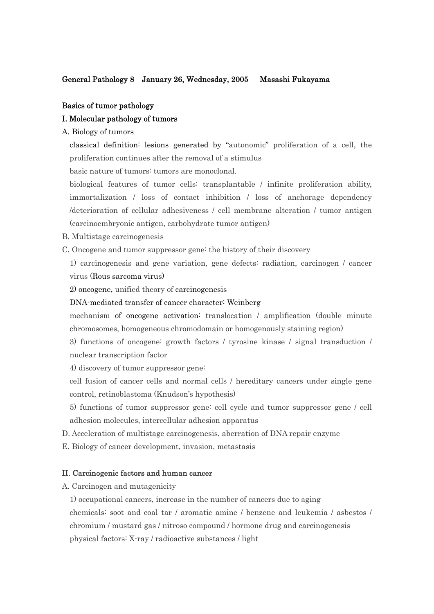### General Pathology 8 January 26, Wednesday, 2005 Masashi Fukayama

### Basics of tumor pathology

#### I. Molecular pathology of tumors

A. Biology of tumors

classical definition: lesions generated by "autonomic" proliferation of a cell, the proliferation continues after the removal of a stimulus

basic nature of tumors: tumors are monoclonal.

biological features of tumor cells: transplantable / infinite proliferation ability, immortalization / loss of contact inhibition / loss of anchorage dependency /deterioration of cellular adhesiveness / cell membrane alteration / tumor antigen (carcinoembryonic antigen, carbohydrate tumor antigen)

B. Multistage carcinogenesis

C. Oncogene and tumor suppressor gene: the history of their discovery

1) carcinogenesis and gene variation, gene defects: radiation, carcinogen / cancer virus (Rous sarcoma virus)

- 2) oncogene, unified theory of carcinogenesis
- DNA-mediated transfer of cancer character: Weinberg

mechanism of oncogene activation: translocation / amplification (double minute chromosomes, homogeneous chromodomain or homogenously staining region)

3) functions of oncogene: growth factors / tyrosine kinase / signal transduction / nuclear transcription factor

4) discovery of tumor suppressor gene:

cell fusion of cancer cells and normal cells / hereditary cancers under single gene control, retinoblastoma (Knudson's hypothesis)

- 5) functions of tumor suppressor gene: cell cycle and tumor suppressor gene / cell adhesion molecules, intercellular adhesion apparatus
- D. Acceleration of multistage carcinogenesis, aberration of DNA repair enzyme

E. Biology of cancer development, invasion, metastasis

#### II. Carcinogenic factors and human cancer

A. Carcinogen and mutagenicity

1) occupational cancers, increase in the number of cancers due to aging

chemicals: soot and coal tar / aromatic amine / benzene and leukemia / asbestos / chromium / mustard gas / nitroso compound / hormone drug and carcinogenesis physical factors: X-ray / radioactive substances / light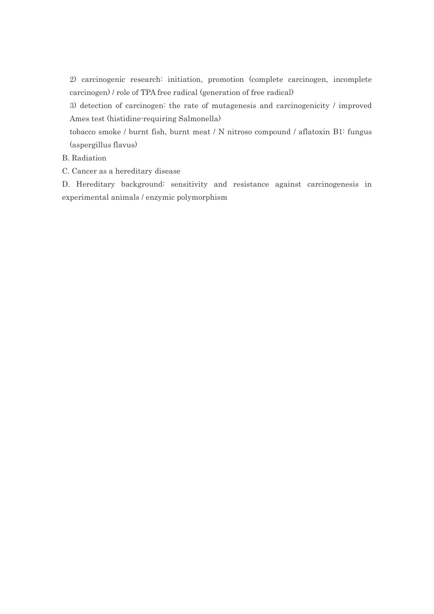2) carcinogenic research: initiation, promotion (complete carcinogen, incomplete carcinogen) / role of TPA free radical (generation of free radical)

3) detection of carcinogen: the rate of mutagenesis and carcinogenicity / improved Ames test (histidine-requiring Salmonella)

tobacco smoke / burnt fish, burnt meat / N nitroso compound / aflatoxin B1: fungus (aspergillus flavus)

### B. Radiation

C. Cancer as a hereditary disease

D. Hereditary background: sensitivity and resistance against carcinogenesis in experimental animals / enzymic polymorphism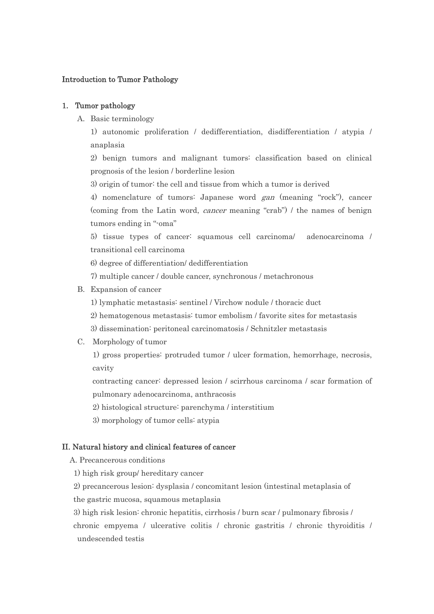# Introduction to Tumor Pathology

## 1. Tumor pathology

A. Basic terminology

1) autonomic proliferation / dedifferentiation, disdifferentiation / atypia / anaplasia

2) benign tumors and malignant tumors: classification based on clinical prognosis of the lesion / borderline lesion

3) origin of tumor: the cell and tissue from which a tumor is derived

4) nomenclature of tumors: Japanese word gan (meaning "rock"), cancer (coming from the Latin word, cancer meaning "crab") / the names of benign tumors ending in "-oma"

5) tissue types of cancer: squamous cell carcinoma/ adenocarcinoma / transitional cell carcinoma

6) degree of differentiation/ dedifferentiation

- 7) multiple cancer / double cancer, synchronous / metachronous
- B. Expansion of cancer
	- 1) lymphatic metastasis: sentinel / Virchow nodule / thoracic duct
	- 2) hematogenous metastasis: tumor embolism / favorite sites for metastasis
	- 3) dissemination: peritoneal carcinomatosis / Schnitzler metastasis
- C. Morphology of tumor

1) gross properties: protruded tumor / ulcer formation, hemorrhage, necrosis, cavity

contracting cancer: depressed lesion / scirrhous carcinoma / scar formation of pulmonary adenocarcinoma, anthracosis

2) histological structure: parenchyma / interstitium

3) morphology of tumor cells: atypia

### II. Natural history and clinical features of cancer

A. Precancerous conditions

1) high risk group/ hereditary cancer

2) precancerous lesion: dysplasia / concomitant lesion (intestinal metaplasia of

the gastric mucosa, squamous metaplasia

 3) high risk lesion: chronic hepatitis, cirrhosis / burn scar / pulmonary fibrosis / chronic empyema / ulcerative colitis / chronic gastritis / chronic thyroiditis / undescended testis